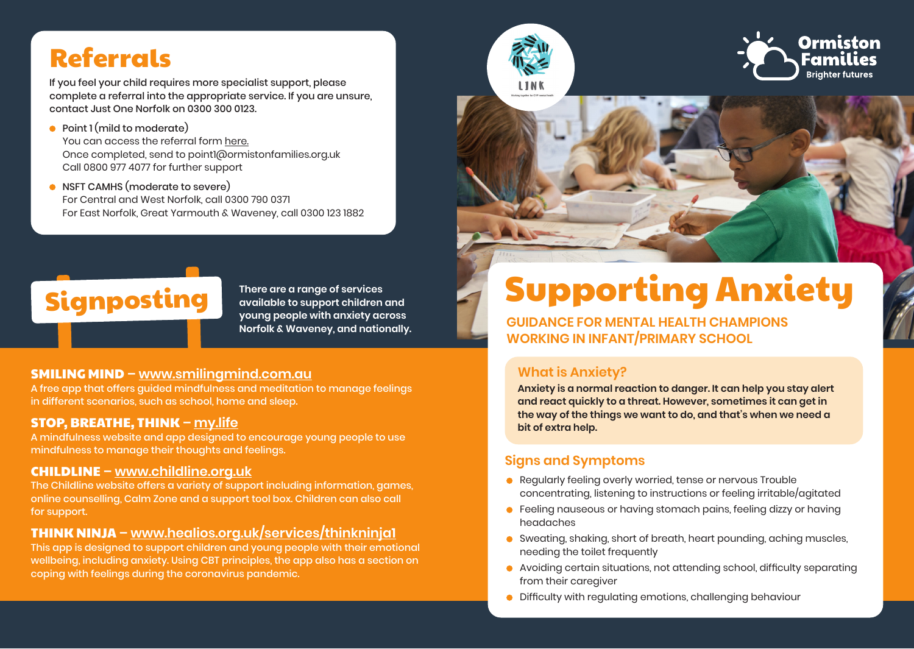# Referrals

If you feel your child requires more specialist support, please complete a referral into the appropriate service. If you are unsure, contact Just One Norfolk on 0300 300 0123.

- Point 1 (mild to moderate) You can access the referral form [here.](https://www.ormiston.org/wp-content/uploads/2020/07/ReferralFormP1final-5.pdf) Once completed, send to point1@ormistonfamilies.org.uk Call 0800 977 4077 for further support
- NSFT CAMHS (moderate to severe) For Central and West Norfolk, call 0300 790 0371 For East Norfolk, Great Yarmouth & Waveney, call 0300 123 1882



**available to support children and young people with anxiety across Norfolk & Waveney, and nationally.**

#### SMILING MIND **–<www.smilingmind.com.au>**

A free app that offers guided mindfulness and meditation to manage feelings in different scenarios, such as school, home and sleep.

#### STOP, BREATHE, THINK **– [my.life](http://my.life)**

A mindfulness website and app designed to encourage young people to use mindfulness to manage their thoughts and feelings.

#### CHILDLINE **–<www.childline.org.uk>**

The Childline website offers a variety of support including information, games, online counselling, Calm Zone and a support tool box. Children can also call for support.

#### THINK NINJA **– <www.healios.org.uk/services/thinkninja1>**

This app is designed to support children and young people with their emotional wellbeing, including anxiety. Using CBT principles, the app also has a section on coping with feelings during the coronavirus pandemic.



**GUIDANCE FOR MENTAL HEALTH CHAMPIONS WORKING IN INFANT/PRIMARY SCHOOL** 

#### **What is Anxiety?**

**Anxiety is a normal reaction to danger. It can help you stay alert and react quickly to a threat. However, sometimes it can get in the way of the things we want to do, and that's when we need a bit of extra help.**

#### **Signs and Symptoms**

- Regularly feeling overly worried, tense or nervous Trouble concentrating, listening to instructions or feeling irritable/agitated
- **•** Feeling nauseous or having stomach pains, feeling dizzy or having headaches
- Sweating, shaking, short of breath, heart pounding, aching muscles, needing the toilet frequently
- Avoiding certain situations, not attending school, difficulty separating from their caregiver
- Difficulty with regulating emotions, challenging behaviour